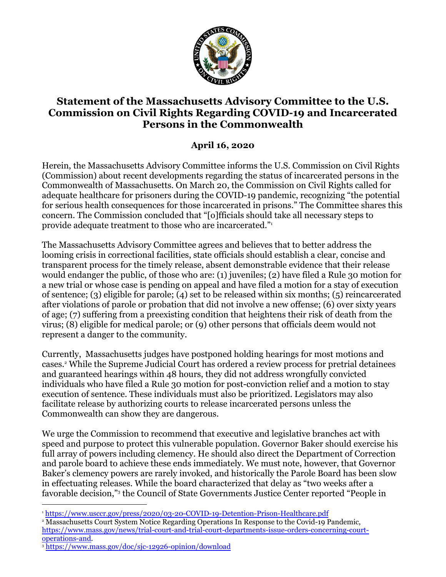

## **Statement of the Massachusetts Advisory Committee to the U.S. Commission on Civil Rights Regarding COVID-19 and Incarcerated Persons in the Commonwealth**

## **April 16, 2020**

Herein, the Massachusetts Advisory Committee informs the U.S. Commission on Civil Rights (Commission) about recent developments regarding the status of incarcerated persons in the Commonwealth of Massachusetts. On March 20, the Commission on Civil Rights called for adequate healthcare for prisoners during the COVID-19 pandemic, recognizing "the potential for serious health consequences for those incarcerated in prisons." The Committee shares this concern. The Commission concluded that "[o]fficials should take all necessary steps to provide adequate treatment to those who are incarcerated."<sup>1</sup><br>The Massachusetts Advisory Committee agrees and believes that to better address the

looming crisis in correctional facilities, state officials should establish a clear, concise and transparent process for the timely release, absent demonstrable evidence that their release would endanger the public, of those who are: (1) juveniles; (2) have filed a Rule 30 motion for a new trial or whose case is pending on appeal and have filed a motion for a stay of execution of sentence; (3) eligible for parole; (4) set to be released within six months; (5) reincarcerated after violations of parole or probation that did not involve a new offense; (6) over sixty years of age; (7) suffering from a preexisting condition that heightens their risk of death from the virus; (8) eligible for medical parole; or (9) other persons that officials deem would not represent a danger to the community.

Currently, Massachusetts judges have postponed holding hearings for most motions and cases.<sup>2</sup> While the Supreme Judicial Court has ordered a review process for pretrial detainees and guaranteed hearings within 48 hours, they did not address wrongfully convicted individuals who have filed a Rule 30 motion for post-conviction relief and a motion to stay execution of sentence. These individuals must also be prioritized. Legislators may also facilitate release by authorizing courts to release incarcerated persons unless the Commonwealth can show they are dangerous.

We urge the Commission to recommend that executive and legislative branches act with speed and purpose to protect this vulnerable population. Governor Baker should exercise his full array of powers including clemency. He should also direct the Department of Correction and parole board to achieve these ends immediately. We must note, however, that Governor Baker's clemency powers are rarely invoked, and historically the Parole Board has been slow in effectuating releases. While the board characterized that delay as "two weeks after a favorable decision," 3 the Council of State Governments Justice Center reported "People in

<sup>3</sup> https://www.mass.gov/doc/sjc-12926-opinion/download

<sup>1</sup> https://www.usccr.gov/press/2020/03-20-COVID-19-Detention-Prison-Healthcare.pdf

<sup>2</sup> Massachusetts Court System Notice Regarding Operations In Response to the Covid-19 Pandemic, https://www.mass.gov/news/trial-court-and-trial-court-departments-issue-orders-concerning-courtoperations-and.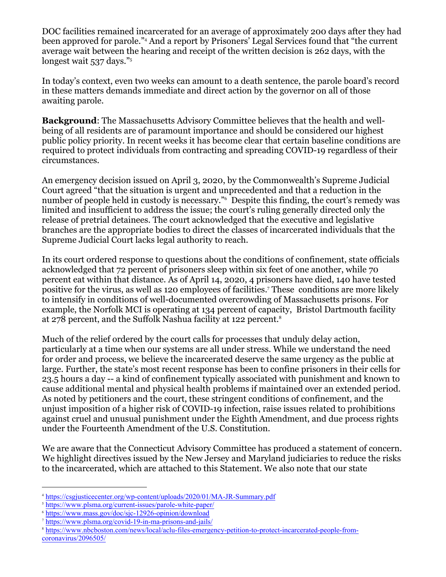DOC facilities remained incarcerated for an average of approximately 200 days after they had been approved for parole."<sup>4</sup> And a report by Prisoners' Legal Services found that "the current average wait between the hearing and receipt of the written decision is 262 days, with the longest wait 537 days."<sup>5</sup>

In today's context, even two weeks can amount to a death sentence, the parole board's record in these matters demands immediate and direct action by the governor on all of those awaiting parole.

**Background**: The Massachusetts Advisory Committee believes that the health and wellbeing of all residents are of paramount importance and should be considered our highest public policy priority. In recent weeks it has become clear that certain baseline conditions are required to protect individuals from contracting and spreading COVID-19 regardless of their circumstances.

An emergency decision issued on April 3, 2020, by the Commonwealth's Supreme Judicial Court agreed "that the situation is urgent and unprecedented and that a reduction in the number of people held in custody is necessary."<sup>6</sup> Despite this finding, the court's remedy was limited and insufficient to address the issue; the court's ruling generally directed only the release of pretrial detainees. The court acknowledged that the executive and legislative branches are the appropriate bodies to direct the classes of incarcerated individuals that the Supreme Judicial Court lacks legal authority to reach.

In its court ordered response to questions about the conditions of confinement, state officials acknowledged that 72 percent of prisoners sleep within six feet of one another, while 70 percent eat within that distance. As of April 14, 2020, 4 prisoners have died, 140 have tested positive for the virus, as well as 120 employees of facilities.<sup>7</sup> These conditions are more likely to intensify in conditions of well-documented overcrowding of Massachusetts prisons. For example, the Norfolk MCI is operating at 134 percent of capacity, Bristol Dartmouth facility at 278 percent, and the Suffolk Nashua facility at 122 percent.<sup>8</sup>

Much of the relief ordered by the court calls for processes that unduly delay action, particularly at a time when our systems are all under stress. While we understand the need for order and process, we believe the incarcerated deserve the same urgency as the public at large. Further, the state's most recent response has been to confine prisoners in their cells for 23.5 hours a day -- a kind of confinement typically associated with punishment and known to cause additional mental and physical health problems if maintained over an extended period. As noted by petitioners and the court, these stringent conditions of confinement, and the unjust imposition of a higher risk of COVID-19 infection, raise issues related to prohibitions against cruel and unusual punishment under the Eighth Amendment, and due process rights under the Fourteenth Amendment of the U.S. Constitution.

We are aware that the Connecticut Advisory Committee has produced a statement of concern. We highlight directives issued by the New Jersey and Maryland judiciaries to reduce the risks to the incarcerated, which are attached to this Statement. We also note that our state

<sup>4</sup> https://csgjusticecenter.org/wp-content/uploads/2020/01/MA-JR-Summary.pdf

<sup>5</sup> https://www.plsma.org/current-issues/parole-white-paper/

<sup>6</sup> https://www.mass.gov/doc/sjc-12926-opinion/download

<sup>7</sup> https://www.plsma.org/covid-19-in-ma-prisons-and-jails/

<sup>8</sup> https://www.nbcboston.com/news/local/aclu-files-emergency-petition-to-protect-incarcerated-people-fromcoronavirus/2096505/